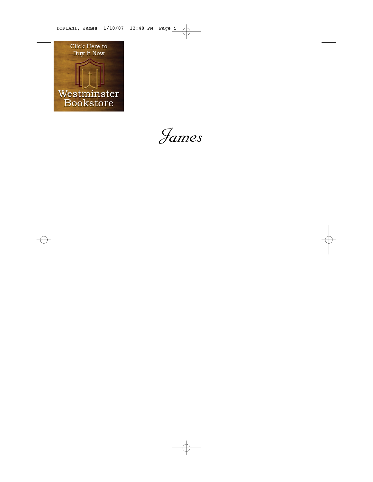DORIANI, James 1/10/07 12:48 PM Page i  $\oplus$ 



*James*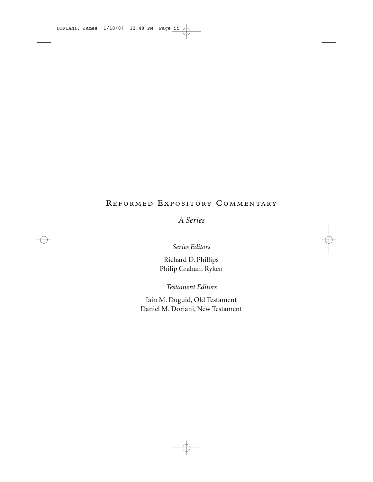### REFORMED EXPOSITORY COMMENTARY

*A Series*

*Series Editors*

Richard D. Phillips Philip Graham Ryken

*Testament Editors*

Iain M. Duguid, Old Testament Daniel M. Doriani, New Testament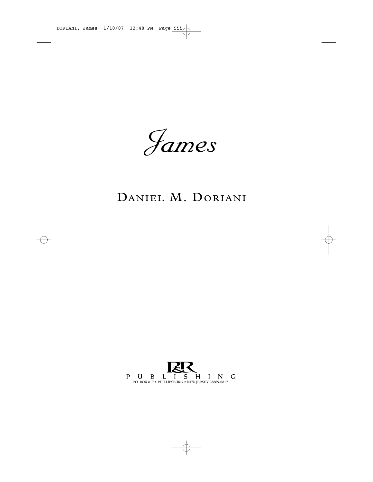$\sqrt{\text{DORIANI}}$ , James 1/10/07 12:48 PM Page iii

*James*

# DANIEL M. DORIANI

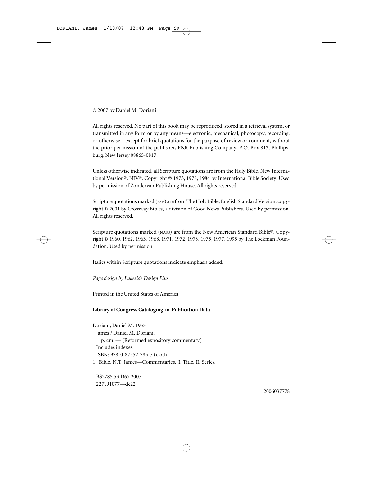#### © 2007 by Daniel M. Doriani

All rights reserved. No part of this book may be reproduced, stored in a retrieval system, or transmitted in any form or by any means—electronic, mechanical, photocopy, recording, or otherwise—except for brief quotations for the purpose of review or comment, without the prior permission of the publisher, P&R Publishing Company, P.O. Box 817, Phillipsburg, New Jersey 08865-0817.

Unless otherwise indicated, all Scripture quotations are from the Holy Bible, New International Version®. NIV®. Copyright © 1973, 1978, 1984 by International Bible Society. Used by permission of Zondervan Publishing House. All rights reserved.

Scripture quotations marked (ESV) are from The Holy Bible, English Standard Version, copyright © 2001 by Crossway Bibles, a division of Good News Publishers. Used by permission. All rights reserved.

Scripture quotations marked (NASB) are from the New American Standard Bible®. Copyright © 1960, 1962, 1963, 1968, 1971, 1972, 1973, 1975, 1977, 1995 by The Lockman Foundation. Used by permission.

Italics within Scripture quotations indicate emphasis added.

#### *Page design by Lakeside Design Plus*

Printed in the United States of America

#### **Library of Congress Cataloging-in-Publication Data**

Doriani, Daniel M. 1953– James / Daniel M. Doriani. p. cm. — (Reformed expository commentary) Includes indexes. ISBN: 978-0-87552-785-7 (cloth) 1. Bible. N.T. James—Commentaries. I. Title. II. Series.

BS2785.53.D67 2007 227'.91077—dc22

2006037778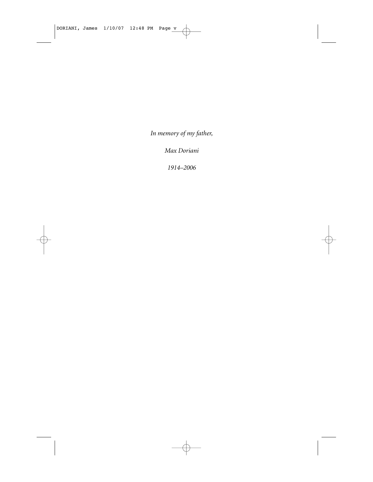*In memory of my father,*

*Max Doriani*

*1914–2006*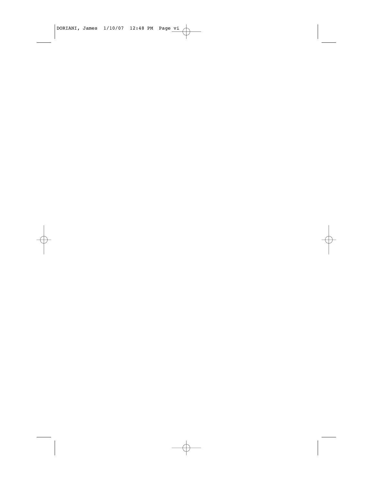$\begin{tabular}{|l|l|} \hline \texttt{DORIANI, James} & \texttt{1/10/07} & \texttt{12:48 PM} & \texttt{Page vi} \\ \hline \end{tabular}$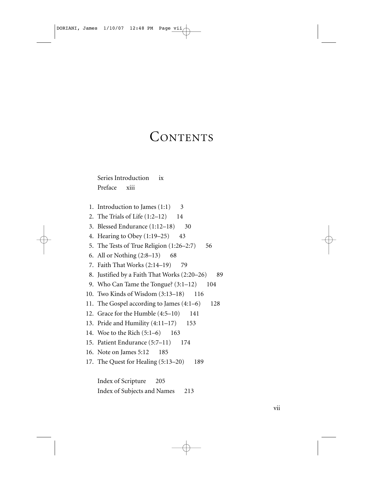# **CONTENTS**

Series Introduction ix Preface xiii

- 1. Introduction to James (1:1) 3
- 2. The Trials of Life (1:2–12) 14

3. Blessed Endurance (1:12–18) 30

4. Hearing to Obey (1:19–25) 43

5. The Tests of True Religion (1:26-2:7) 56

6. All or Nothing (2:8–13) 68

7. Faith That Works (2:14–19) 79

8. Justified by a Faith That Works (2:20–26) 89

9. Who Can Tame the Tongue?  $(3:1-12)$  104

10. Two Kinds of Wisdom (3:13–18) 116

11. The Gospel according to James (4:1–6) 128

12. Grace for the Humble (4:5–10) 141

13. Pride and Humility (4:11–17) 153

14. Woe to the Rich (5:1–6) 163

15. Patient Endurance (5:7–11) 174

16. Note on James 5:12 185

17. The Quest for Healing (5:13–20) 189

Index of Scripture 205 Index of Subjects and Names 213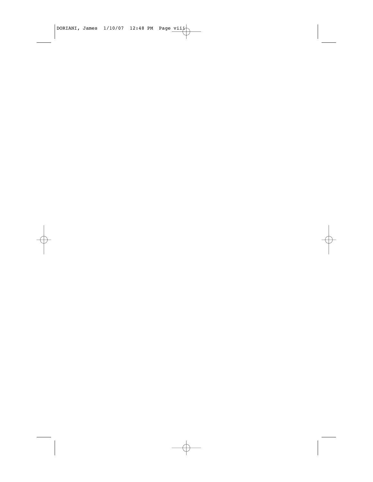$\begin{tabular}{|l|l|} \hline \texttt{DORIANI, James} & \texttt{1/10/07} & \texttt{12:48 PM} & \texttt{Page } \texttt{viii} \hline \end{tabular}$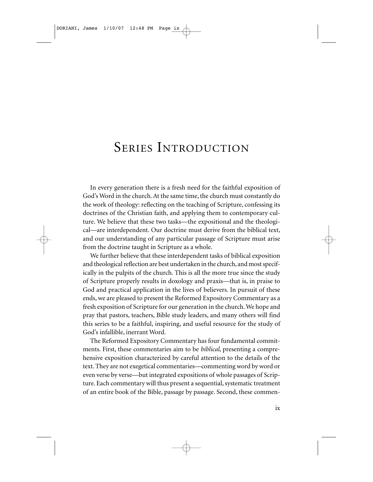# SERIES INTRODUCTION

In every generation there is a fresh need for the faithful exposition of God's Word in the church. At the same time, the church must constantly do the work of theology: reflecting on the teaching of Scripture, confessing its doctrines of the Christian faith, and applying them to contemporary culture. We believe that these two tasks—the expositional and the theological—are interdependent. Our doctrine must derive from the biblical text, and our understanding of any particular passage of Scripture must arise from the doctrine taught in Scripture as a whole.

We further believe that these interdependent tasks of biblical exposition and theological reflection are best undertaken in the church, and most specifically in the pulpits of the church. This is all the more true since the study of Scripture properly results in doxology and praxis—that is, in praise to God and practical application in the lives of believers. In pursuit of these ends, we are pleased to present the Reformed Expository Commentary as a fresh exposition of Scripture for our generation in the church. We hope and pray that pastors, teachers, Bible study leaders, and many others will find this series to be a faithful, inspiring, and useful resource for the study of God's infallible, inerrant Word.

The Reformed Expository Commentary has four fundamental commitments. First, these commentaries aim to be *biblical*, presenting a comprehensive exposition characterized by careful attention to the details of the text. They are not exegetical commentaries—commenting word by word or even verse by verse—but integrated expositions of whole passages of Scripture. Each commentary will thus present a sequential, systematic treatment of an entire book of the Bible, passage by passage. Second, these commen-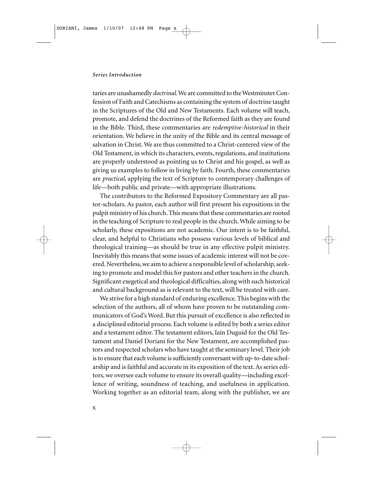#### *Series Introduction*

taries are unashamedly *doctrinal*.We are committed to the Westminster Confession of Faith and Catechisms as containing the system of doctrine taught in the Scriptures of the Old and New Testaments. Each volume will teach, promote, and defend the doctrines of the Reformed faith as they are found in the Bible. Third, these commentaries are *redemptive-historical* in their orientation. We believe in the unity of the Bible and its central message of salvation in Christ. We are thus committed to a Christ-centered view of the Old Testament, in which its characters, events, regulations, and institutions are properly understood as pointing us to Christ and his gospel, as well as giving us examples to follow in living by faith. Fourth, these commentaries are *practical*, applying the text of Scripture to contemporary challenges of life—both public and private—with appropriate illustrations.

The contributors to the Reformed Expository Commentary are all pastor-scholars. As pastor, each author will first present his expositions in the pulpit ministry of his church. This means that these commentaries are rooted in the teaching of Scripture to real people in the church. While aiming to be scholarly, these expositions are not academic. Our intent is to be faithful, clear, and helpful to Christians who possess various levels of biblical and theological training—as should be true in any effective pulpit ministry. Inevitably this means that some issues of academic interest will not be covered. Nevertheless, we aim to achieve a responsible level of scholarship, seeking to promote and model this for pastors and other teachers in the church. Significant exegetical and theological difficulties, along with such historical and cultural background as is relevant to the text, will be treated with care.

We strive for a high standard of enduring excellence. This begins with the selection of the authors, all of whom have proven to be outstanding communicators of God's Word. But this pursuit of excellence is also reflected in a disciplined editorial process. Each volume is edited by both a series editor and a testament editor. The testament editors, Iain Duguid for the Old Testament and Daniel Doriani for the New Testament, are accomplished pastors and respected scholars who have taught at the seminary level. Their job is to ensure that each volume is sufficiently conversant with up-to-date scholarship and is faithful and accurate in its exposition of the text. As series editors, we oversee each volume to ensure its overall quality—including excellence of writing, soundness of teaching, and usefulness in application. Working together as an editorial team, along with the publisher, we are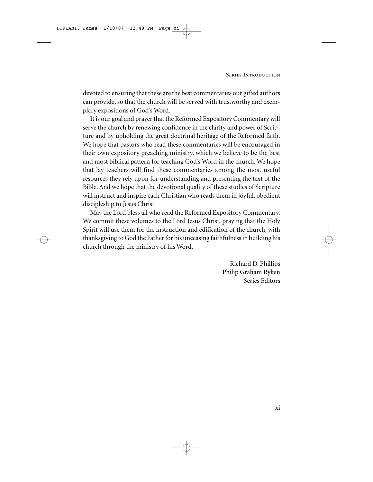DORIANI, James 1/10/07 12:48 PM Page xi

devoted to ensuring that these are the best commentaries our gifted authors can provide, so that the church will be served with trustworthy and exemplary expositions of God's Word.

It is our goal and prayer that the Reformed Expository Commentary will serve the church by renewing confidence in the clarity and power of Scripture and by upholding the great doctrinal heritage of the Reformed faith. We hope that pastors who read these commentaries will be encouraged in their own expository preaching ministry, which we believe to be the best and most biblical pattern for teaching God's Word in the church. We hope that lay teachers will find these commentaries among the most useful resources they rely upon for understanding and presenting the text of the Bible. And we hope that the devotional quality of these studies of Scripture will instruct and inspire each Christian who reads them in joyful, obedient discipleship to Jesus Christ.

May the Lord bless all who read the Reformed Expository Commentary. We commit these volumes to the Lord Jesus Christ, praying that the Holy Spirit will use them for the instruction and edification of the church, with thanksgiving to God the Father for his unceasing faithfulness in building his church through the ministry of his Word.

> Richard D. Phillips Philip Graham Ryken Series Editors

> > xi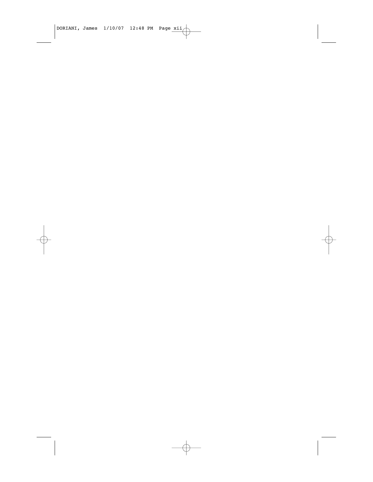$\begin{tabular}{|l|l|} \hline \texttt{DORIANI, James} & \texttt{1/10/07} & \texttt{12:48 PM} & \texttt{Page } \underline{xi} \\ \hline \end{tabular}$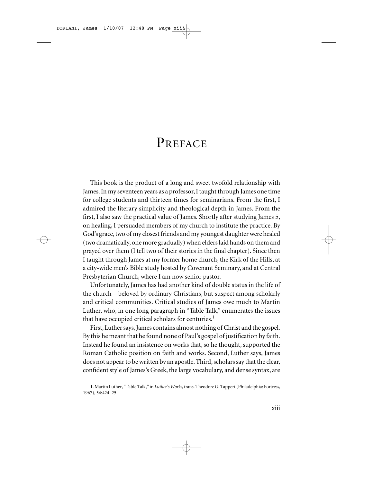# PREFACE

This book is the product of a long and sweet twofold relationship with James. In my seventeen years as a professor, I taught through James one time for college students and thirteen times for seminarians. From the first, I admired the literary simplicity and theological depth in James. From the first, I also saw the practical value of James. Shortly after studying James 5, on healing, I persuaded members of my church to institute the practice. By God's grace, two of my closest friends and my youngest daughter were healed (two dramatically, one more gradually) when elders laid hands on them and prayed over them (I tell two of their stories in the final chapter). Since then I taught through James at my former home church, the Kirk of the Hills, at a city-wide men's Bible study hosted by Covenant Seminary, and at Central Presbyterian Church, where I am now senior pastor.

Unfortunately, James has had another kind of double status in the life of the church—beloved by ordinary Christians, but suspect among scholarly and critical communities. Critical studies of James owe much to Martin Luther, who, in one long paragraph in "Table Talk," enumerates the issues that have occupied critical scholars for centuries.<sup>1</sup>

First, Luther says, James contains almost nothing of Christ and the gospel. By this he meant that he found none of Paul's gospel of justification by faith. Instead he found an insistence on works that, so he thought, supported the Roman Catholic position on faith and works. Second, Luther says, James does not appear to be written by an apostle. Third, scholars say that the clear, confident style of James's Greek, the large vocabulary, and dense syntax, are

<sup>1.</sup> Martin Luther, "Table Talk," in *Luther's Works*, trans. Theodore G. Tappert (Philadelphia: Fortress, 1967), 54:424–25.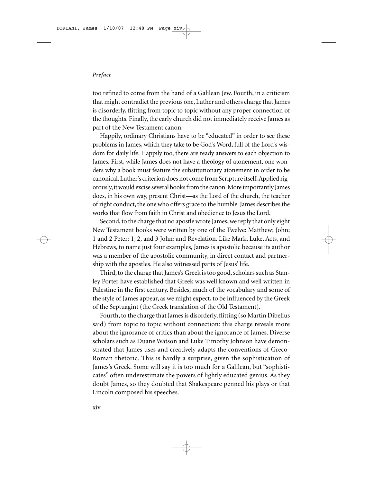#### *Preface*

too refined to come from the hand of a Galilean Jew. Fourth, in a criticism that might contradict the previous one, Luther and others charge that James is disorderly, flitting from topic to topic without any proper connection of the thoughts. Finally, the early church did not immediately receive James as part of the New Testament canon.

Happily, ordinary Christians have to be "educated" in order to see these problems in James, which they take to be God's Word, full of the Lord's wisdom for daily life. Happily too, there are ready answers to each objection to James. First, while James does not have a theology of atonement, one wonders why a book must feature the substitutionary atonement in order to be canonical. Luther's criterion does not come from Scripture itself.Applied rigorously, it would excise several books from the canon. More importantly James does, in his own way, present Christ—as the Lord of the church, the teacher of right conduct, the one who offers grace to the humble. James describes the works that flow from faith in Christ and obedience to Jesus the Lord.

Second, to the charge that no apostle wrote James, we reply that only eight New Testament books were written by one of the Twelve: Matthew; John; 1 and 2 Peter; 1, 2, and 3 John; and Revelation. Like Mark, Luke, Acts, and Hebrews, to name just four examples, James is apostolic because its author was a member of the apostolic community, in direct contact and partnership with the apostles. He also witnessed parts of Jesus' life.

Third, to the charge that James's Greek is too good, scholars such as Stanley Porter have established that Greek was well known and well written in Palestine in the first century. Besides, much of the vocabulary and some of the style of James appear, as we might expect, to be influenced by the Greek of the Septuagint (the Greek translation of the Old Testament).

Fourth, to the charge that James is disorderly, flitting (so Martin Dibelius said) from topic to topic without connection: this charge reveals more about the ignorance of critics than about the ignorance of James. Diverse scholars such as Duane Watson and Luke Timothy Johnson have demonstrated that James uses and creatively adapts the conventions of Greco-Roman rhetoric. This is hardly a surprise, given the sophistication of James's Greek. Some will say it is too much for a Galilean, but "sophisticates" often underestimate the powers of lightly educated genius. As they doubt James, so they doubted that Shakespeare penned his plays or that Lincoln composed his speeches.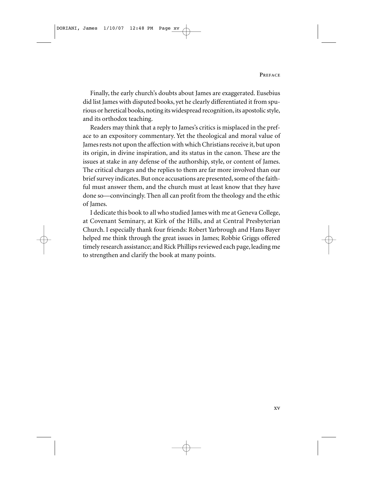#### **PREFACE**

Finally, the early church's doubts about James are exaggerated. Eusebius did list James with disputed books, yet he clearly differentiated it from spurious or heretical books, noting its widespread recognition, its apostolic style, and its orthodox teaching.

Readers may think that a reply to James's critics is misplaced in the preface to an expository commentary. Yet the theological and moral value of James rests not upon the affection with which Christians receive it, but upon its origin, in divine inspiration, and its status in the canon. These are the issues at stake in any defense of the authorship, style, or content of James. The critical charges and the replies to them are far more involved than our brief survey indicates. But once accusations are presented, some of the faithful must answer them, and the church must at least know that they have done so—convincingly. Then all can profit from the theology and the ethic of James.

I dedicate this book to all who studied James with me at Geneva College, at Covenant Seminary, at Kirk of the Hills, and at Central Presbyterian Church. I especially thank four friends: Robert Yarbrough and Hans Bayer helped me think through the great issues in James; Robbie Griggs offered timely research assistance; and Rick Phillips reviewed each page, leading me to strengthen and clarify the book at many points.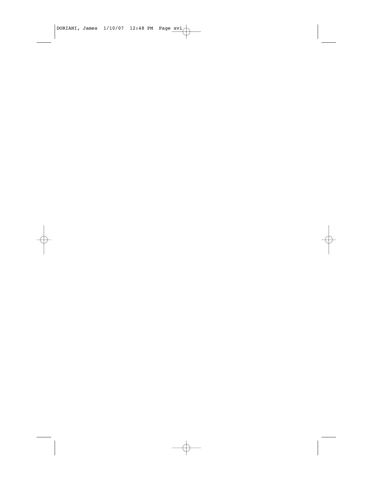$\begin{tabular}{|l|l|} \hline \texttt{DORIANI, James} & \texttt{1/10/07} & \texttt{12:48 PM} & \texttt{Page } \underline{Xvi} \\\hline \end{tabular}$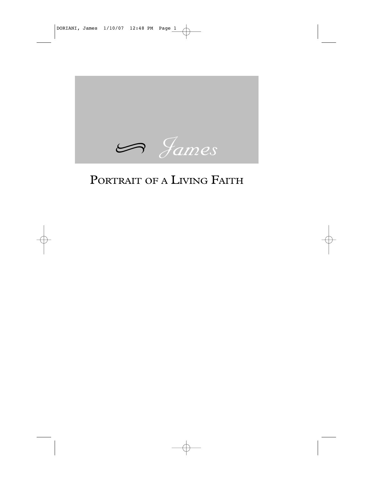DORIANI, James  $1/10/07$  12:48 PM Page  $1$ 



# PORTRAIT OF A LIVING FAITH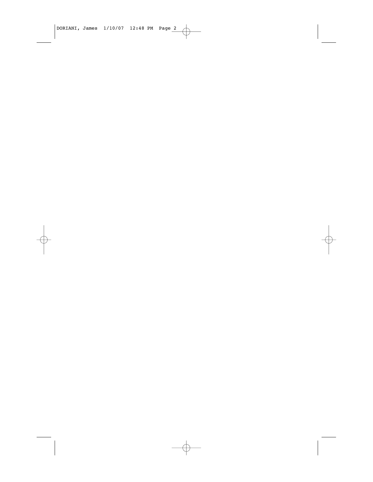DORIANI, James 1/10/07 12:48 PM Page 2 $\oplus$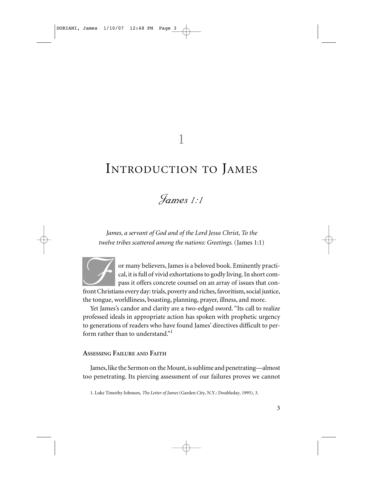## 1

# INTRODUCTION TO JAMES

### *James 1:1*

*James, a servant of God and of the Lord Jesus Christ, To the twelve tribes scattered among the nations: Greetings.* (James 1:1)



**From the UPS of many believers**, James is a beloved book. Eminently practical, it is full of vivid exhortations to godly living. In short compass it offers concrete counsel on an array of issues that confront Christians e cal, it is full of vivid exhortations to godly living. In short compass it offers concrete counsel on an array of issues that conthe tongue, worldliness, boasting, planning, prayer, illness, and more.

Yet James's candor and clarity are a two-edged sword. "Its call to realize professed ideals in appropriate action has spoken with prophetic urgency to generations of readers who have found James' directives difficult to perform rather than to understand."1

#### **ASSESSING FAILURE AND FAITH**

James, like the Sermon on the Mount, is sublime and penetrating—almost too penetrating. Its piercing assessment of our failures proves we cannot

<sup>1.</sup> Luke Timothy Johnson, *The Letter of James* (Garden City, N.Y.: Doubleday, 1995), 3.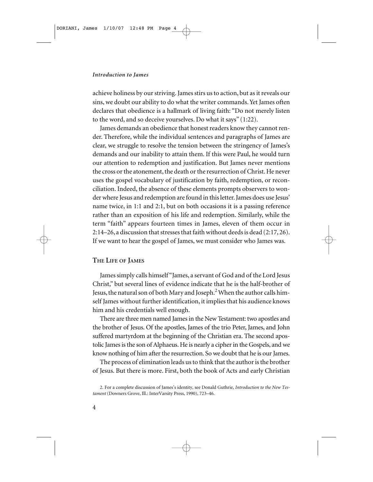#### *Introduction to James*

achieve holiness by our striving. James stirs us to action, but as it reveals our sins, we doubt our ability to do what the writer commands. Yet James often declares that obedience is a hallmark of living faith: "Do not merely listen to the word, and so deceive yourselves. Do what it says" (1:22).

James demands an obedience that honest readers know they cannot render. Therefore, while the individual sentences and paragraphs of James are clear, we struggle to resolve the tension between the stringency of James's demands and our inability to attain them. If this were Paul, he would turn our attention to redemption and justification. But James never mentions the cross or the atonement, the death or the resurrection of Christ. He never uses the gospel vocabulary of justification by faith, redemption, or reconciliation. Indeed, the absence of these elements prompts observers to wonder where Jesus and redemption are found in this letter. James does use Jesus' name twice, in 1:1 and 2:1, but on both occasions it is a passing reference rather than an exposition of his life and redemption. Similarly, while the term "faith" appears fourteen times in James, eleven of them occur in 2:14–26, a discussion that stresses that faith without deeds is dead (2:17, 26). If we want to hear the gospel of James, we must consider who James was.

### **THE LIFE OF JAMES**

James simply calls himself "James, a servant of God and of the Lord Jesus Christ," but several lines of evidence indicate that he is the half-brother of Jesus, the natural son of both Mary and Joseph.<sup>2</sup> When the author calls himself James without further identification, it implies that his audience knows him and his credentials well enough.

There are three men named James in the New Testament: two apostles and the brother of Jesus. Of the apostles, James of the trio Peter, James, and John suffered martyrdom at the beginning of the Christian era. The second apostolic James is the son of Alphaeus. He is nearly a cipher in the Gospels, and we know nothing of him after the resurrection. So we doubt that he is our James.

The process of elimination leads us to think that the author is the brother of Jesus. But there is more. First, both the book of Acts and early Christian

<sup>2.</sup> For a complete discussion of James's identity, see Donald Guthrie, *Introduction to the New Testament* (Downers Grove, Ill.: InterVarsity Press, 1990), 723–46.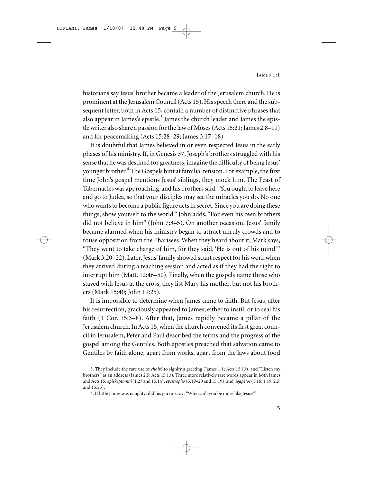**JAMES 1:1**

DORIANI, James 1/10/07 12:48 PM Page 5

historians say Jesus' brother became a leader of the Jerusalem church. He is prominent at the Jerusalem Council (Acts 15). His speech there and the subsequent letter, both in Acts 15, contain a number of distinctive phrases that also appear in James's epistle.<sup>3</sup> James the church leader and James the epistle writer also share a passion for the law of Moses (Acts 15:21; James 2:8–11) and for peacemaking (Acts 15:28–29; James 3:17–18).

It is doubtful that James believed in or even respected Jesus in the early phases of his ministry. If, in Genesis 37, Joseph's brothers struggled with his sense that he was destined for greatness, imagine the difficulty of being Jesus' younger brother.<sup>4</sup> The Gospels hint at familial tension. For example, the first time John's gospel mentions Jesus' siblings, they mock him. The Feast of Tabernacles was approaching, and his brothers said:"You ought to leave here and go to Judea, so that your disciples may see the miracles you do. No one who wants to become a public figure acts in secret. Since you are doing these things, show yourself to the world." John adds, "For even his own brothers did not believe in him" (John 7:3–5). On another occasion, Jesus' family became alarmed when his ministry began to attract unruly crowds and to rouse opposition from the Pharisees. When they heard about it, Mark says, "They went to take charge of him, for they said, 'He is out of his mind'" (Mark 3:20–22). Later, Jesus' family showed scant respect for his work when they arrived during a teaching session and acted as if they had the right to interrupt him (Matt. 12:46–50). Finally, when the gospels name those who stayed with Jesus at the cross, they list Mary his mother, but not his brothers (Mark 15:40; John 19:25).

It is impossible to determine when James came to faith. But Jesus, after his resurrection, graciously appeared to James, either to instill or to seal his faith (1 Cor. 15:3–8). After that, James rapidly became a pillar of the Jerusalem church. In Acts 15, when the church convened its first great council in Jerusalem, Peter and Paul described the terms and the progress of the gospel among the Gentiles. Both apostles preached that salvation came to Gentiles by faith alone, apart from works, apart from the laws about food

<sup>3.</sup> They include the rare use of *chair* $\bar{\sigma}$  to signify a greeting (James 1:1; Acts 15:13), and "Listen my brothers" as an address (James 2:5; Acts 15:13). Three more relatively rare words appear in both James and Acts 15: *episkeptomai*(1:27 and 15:14), *epistrephom*(5:19–20 and 15:19), and *agapetos m* (1:16; 1:19; 2:5; and 15:25).

<sup>4.</sup> If little James was naughty, did his parents say, "Why can't you be more like Jesus?"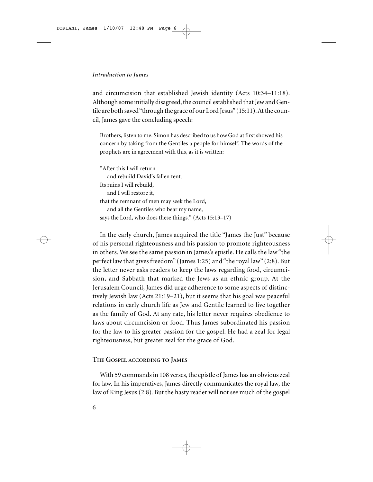#### *Introduction to James*

and circumcision that established Jewish identity (Acts 10:34–11:18). Although some initially disagreed, the council established that Jew and Gentile are both saved "through the grace of our Lord Jesus" (15:11). At the council, James gave the concluding speech:

Brothers, listen to me. Simon has described to us how God at first showed his concern by taking from the Gentiles a people for himself. The words of the prophets are in agreement with this, as it is written:

"After this I will return and rebuild David's fallen tent. Its ruins I will rebuild, and I will restore it, that the remnant of men may seek the Lord, and all the Gentiles who bear my name, says the Lord, who does these things." (Acts 15:13–17)

In the early church, James acquired the title "James the Just" because of his personal righteousness and his passion to promote righteousness in others. We see the same passion in James's epistle. He calls the law "the perfect law that gives freedom" (James 1:25) and "the royal law" (2:8). But the letter never asks readers to keep the laws regarding food, circumcision, and Sabbath that marked the Jews as an ethnic group. At the Jerusalem Council, James did urge adherence to some aspects of distinctively Jewish law (Acts 21:19–21), but it seems that his goal was peaceful relations in early church life as Jew and Gentile learned to live together as the family of God. At any rate, his letter never requires obedience to laws about circumcision or food. Thus James subordinated his passion for the law to his greater passion for the gospel. He had a zeal for legal righteousness, but greater zeal for the grace of God.

#### **THE GOSPEL ACCORDING TO JAMES**

With 59 commands in 108 verses, the epistle of James has an obvious zeal for law. In his imperatives, James directly communicates the royal law, the law of King Jesus (2:8). But the hasty reader will not see much of the gospel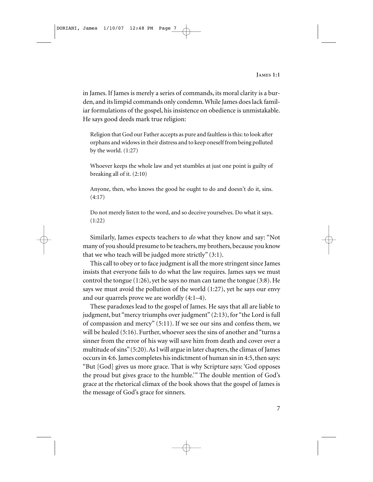#### **JAMES 1:1**

in James. If James is merely a series of commands, its moral clarity is a burden, and its limpid commands only condemn. While James does lack familiar formulations of the gospel, his insistence on obedience is unmistakable. He says good deeds mark true religion:

Religion that God our Father accepts as pure and faultless is this: to look after orphans and widows in their distress and to keep oneself from being polluted by the world. (1:27)

Whoever keeps the whole law and yet stumbles at just one point is guilty of breaking all of it. (2:10)

Anyone, then, who knows the good he ought to do and doesn't do it, sins. (4:17)

Do not merely listen to the word, and so deceive yourselves. Do what it says. (1:22)

Similarly, James expects teachers to *do* what they know and say: "Not many of you should presume to be teachers, my brothers, because you know that we who teach will be judged more strictly" (3:1).

This call to obey or to face judgment is all the more stringent since James insists that everyone fails to do what the law requires. James says we must control the tongue (1:26), yet he says no man can tame the tongue (3:8). He says we must avoid the pollution of the world (1:27), yet he says our envy and our quarrels prove we are worldly (4:1–4).

These paradoxes lead to the gospel of James. He says that all are liable to judgment, but "mercy triumphs over judgment" (2:13), for "the Lord is full of compassion and mercy" (5:11). If we see our sins and confess them, we will be healed (5:16). Further, whoever sees the sins of another and "turns a sinner from the error of his way will save him from death and cover over a multitude of sins"(5:20).As I will argue in later chapters, the climax of James occurs in 4:6. James completes his indictment of human sin in 4:5, then says: "But [God] gives us more grace. That is why Scripture says: 'God opposes the proud but gives grace to the humble.'" The double mention of God's grace at the rhetorical climax of the book shows that the gospel of James is the message of God's grace for sinners.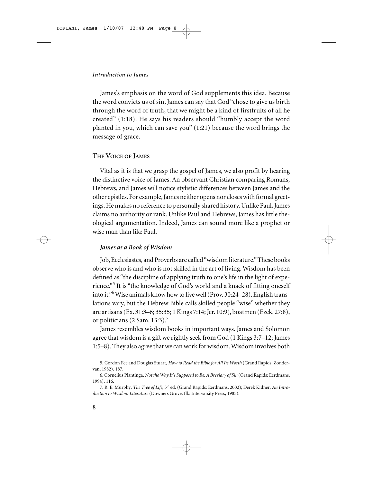#### *Introduction to James*

James's emphasis on the word of God supplements this idea. Because the word convicts us of sin, James can say that God "chose to give us birth through the word of truth, that we might be a kind of firstfruits of all he created" (1:18). He says his readers should "humbly accept the word planted in you, which can save you" (1:21) because the word brings the message of grace.

#### **THE VOICE OF JAMES**

Vital as it is that we grasp the gospel of James, we also profit by hearing the distinctive voice of James. An observant Christian comparing Romans, Hebrews, and James will notice stylistic differences between James and the other epistles. For example, James neither opens nor closes with formal greetings. He makes no reference to personally shared history. Unlike Paul, James claims no authority or rank. Unlike Paul and Hebrews, James has little theological argumentation. Indeed, James can sound more like a prophet or wise man than like Paul.

#### *James as a Book of Wisdom*

Job, Ecclesiastes, and Proverbs are called "wisdom literature."These books observe who is and who is not skilled in the art of living. Wisdom has been defined as "the discipline of applying truth to one's life in the light of experience."<sup>5</sup> It is "the knowledge of God's world and a knack of fitting oneself into it."<sup>6</sup> Wise animals know how to live well (Prov. 30:24–28). English translations vary, but the Hebrew Bible calls skilled people "wise" whether they are artisans (Ex. 31:3–6; 35:35; 1 Kings 7:14; Jer. 10:9), boatmen (Ezek. 27:8), or politicians  $(2 \text{ Sam. } 13:3)$ .

James resembles wisdom books in important ways. James and Solomon agree that wisdom is a gift we rightly seek from God (1 Kings 3:7–12; James 1:5–8). They also agree that we can work for wisdom.Wisdom involves both

6. Cornelius Plantinga, *Not the Way It's Supposed to Be: A Breviary of Sin* (Grand Rapids: Eerdmans, 1994), 116.

<sup>5.</sup> Gordon Fee and Douglas Stuart, *How to Read the Bible for All Its Worth* (Grand Rapids: Zondervan, 1982), 187.

<sup>7.</sup> R. E. Murphy, *The Tree of Life*, 3rd ed. (Grand Rapids: Eerdmans, 2002); Derek Kidner, *An Introduction to Wisdom Literature* (Downers Grove, Ill.: Intervarsity Press, 1985).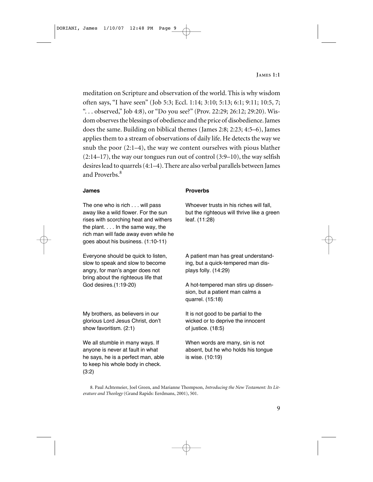#### **JAMES 1:1**

meditation on Scripture and observation of the world. This is why wisdom often says, "I have seen" (Job 5:3; Eccl. 1:14; 3:10; 5:13; 6:1; 9:11; 10:5, 7; ". . . observed," Job 4:8), or "Do you see?" (Prov. 22:29; 26:12; 29:20). Wisdom observes the blessings of obedience and the price of disobedience. James does the same. Building on biblical themes (James 2:8; 2:23; 4:5–6), James applies them to a stream of observations of daily life. He detects the way we snub the poor (2:1–4), the way we content ourselves with pious blather (2:14–17), the way our tongues run out of control (3:9–10), the way selfish desires lead to quarrels (4:1–4). There are also verbal parallels between James and Proverbs.<sup>8</sup>

The one who is rich . . . will pass Whoever trusts in his riches will fall, rises with scorching heat and withers leaf. (11:28) the plant. . . . In the same way, the rich man will fade away even while he goes about his business. (1:10-11)

slow to speak and slow to become ing, but a quick-tempered man disangry, for man's anger does not plays folly. (14:29) bring about the righteous life that God desires.(1:19-20) A hot-tempered man stirs up dissen-

My brothers, as believers in our It is not good to be partial to the show favoritism. (2:1) of justice. (18:5)

We all stumble in many ways. If When words are many, sin is not he says, he is a perfect man, able is wise. (10:19) to keep his whole body in check. (3:2)

#### **James** Proverbs

away like a wild flower. For the sun but the righteous will thrive like a green

Everyone should be quick to listen, A patient man has great understand-

sion, but a patient man calms a quarrel. (15:18)

glorious Lord Jesus Christ, don't wicked or to deprive the innocent

anyone is never at fault in what absent, but he who holds his tongue

8. Paul Achtemeier, Joel Green, and Marianne Thompson, *Introducing the New Testament: Its Literature and Theology* (Grand Rapids: Eerdmans, 2001), 501.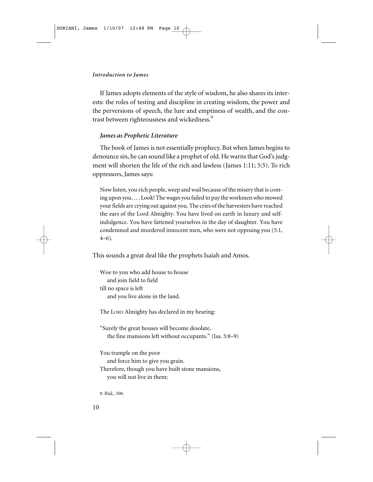#### *Introduction to James*

If James adopts elements of the style of wisdom, he also shares its interests: the roles of testing and discipline in creating wisdom, the power and the perversions of speech, the lure and emptiness of wealth, and the contrast between righteousness and wickedness.<sup>9</sup>

#### *James as Prophetic Literature*

The book of James is not essentially prophecy. But when James begins to denounce sin, he can sound like a prophet of old. He warns that God's judgment will shorten the life of the rich and lawless (James 1:11; 5:5). To rich oppressors, James says:

Now listen, you rich people, weep and wail because of the misery that is coming upon you. . . . Look! The wages you failed to pay the workmen who mowed your fields are crying out against you. The cries of the harvesters have reached the ears of the Lord Almighty. You have lived on earth in luxury and selfindulgence. You have fattened yourselves in the day of slaughter. You have condemned and murdered innocent men, who were not opposing you (5:1, 4–6).

This sounds a great deal like the prophets Isaiah and Amos.

```
Woe to you who add house to house
   and join field to field
till no space is left
   and you live alone in the land.
```
The LORD Almighty has declared in my hearing:

"Surely the great houses will become desolate, the fine mansions left without occupants." (Isa. 5:8–9)

You trample on the poor and force him to give you grain. Therefore, though you have built stone mansions, you will not live in them;

9. Ibid., 500.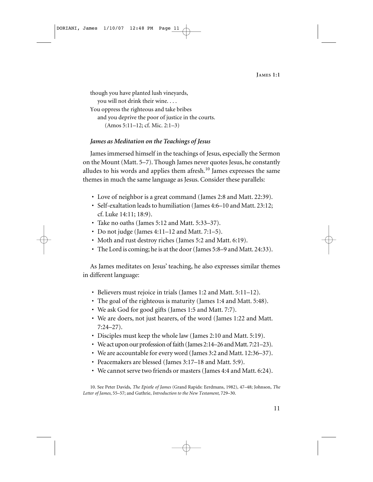**JAMES 1:1**

though you have planted lush vineyards, you will not drink their wine. . . . You oppress the righteous and take bribes and you deprive the poor of justice in the courts. (Amos 5:11–12; cf. Mic. 2:1–3)

#### *James as Meditation on the Teachings of Jesus*

James immersed himself in the teachings of Jesus, especially the Sermon on the Mount (Matt. 5–7). Though James never quotes Jesus, he constantly alludes to his words and applies them afresh. $^{10}$  James expresses the same themes in much the same language as Jesus. Consider these parallels:

- Love of neighbor is a great command (James 2:8 and Matt. 22:39).
- Self-exaltation leads to humiliation (James 4:6–10 and Matt. 23:12; cf. Luke 14:11; 18:9).
- Take no oaths (James 5:12 and Matt. 5:33–37).
- Do not judge (James 4:11–12 and Matt. 7:1–5).
- Moth and rust destroy riches (James 5:2 and Matt. 6:19).
- The Lord is coming; he is at the door (James 5:8–9 and Matt. 24:33).

As James meditates on Jesus' teaching, he also expresses similar themes in different language:

- Believers must rejoice in trials (James 1:2 and Matt. 5:11–12).
- The goal of the righteous is maturity (James 1:4 and Matt. 5:48).
- We ask God for good gifts (James 1:5 and Matt. 7:7).
- We are doers, not just hearers, of the word (James 1:22 and Matt. 7:24–27).
- Disciples must keep the whole law (James 2:10 and Matt. 5:19).
- We act upon our profession of faith (James 2:14–26 and Matt.7:21–23).
- We are accountable for every word (James 3:2 and Matt. 12:36–37).
- Peacemakers are blessed (James 3:17–18 and Matt. 5:9).
- We cannot serve two friends or masters (James 4:4 and Matt. 6:24).

10. See Peter Davids, *The Epistle of James* (Grand Rapids: Eerdmans, 1982), 47–48; Johnson, *The Letter of James*, 55–57; and Guthrie, *Introduction to the New Testament*, 729–30.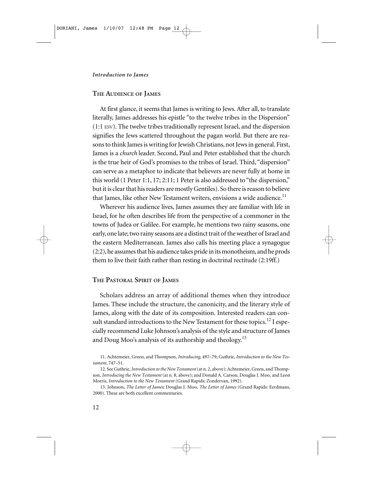#### *Introduction to James*

#### **THE AUDIENCE OF JAMES**

At first glance, it seems that James is writing to Jews. After all, to translate literally, James addresses his epistle "to the twelve tribes in the Dispersion" (1:1 ESV). The twelve tribes traditionally represent Israel, and the dispersion signifies the Jews scattered throughout the pagan world. But there are reasons to think James is writing for Jewish Christians, not Jews in general. First, James is a *church* leader. Second, Paul and Peter established that the church is the true heir of God's promises to the tribes of Israel. Third, "dispersion" can serve as a metaphor to indicate that believers are never fully at home in this world (1 Peter 1:1, 17; 2:11; 1 Peter is also addressed to "the dispersion," but it is clear that his readers are mostly Gentiles). So there is reason to believe that James, like other New Testament writers, envisions a wide audience.<sup>11</sup>

Wherever his audience lives, James assumes they are familiar with life in Israel, for he often describes life from the perspective of a commoner in the towns of Judea or Galilee. For example, he mentions two rainy seasons, one early,one late; two rainy seasons are a distinct trait of the weather of Israel and the eastern Mediterranean. James also calls his meeting place a synagogue (2:2),he assumes that his audience takes pride in its monotheism,and he prods them to live their faith rather than resting in doctrinal rectitude (2:19ff.)

#### **THE PASTORAL SPIRIT OF JAMES**

Scholars address an array of additional themes when they introduce James. These include the structure, the canonicity, and the literary style of James, along with the date of its composition. Interested readers can consult standard introductions to the New Testament for these topics.<sup>12</sup> I especially recommend Luke Johnson's analysis of the style and structure of James and Doug Moo's analysis of its authorship and theology.<sup>13</sup>

11. Achtemeier, Green, and Thompson, *Introducing*, 497–79; Guthrie, *Introduction to the New Testament*, 747–51.

13. Johnson, *The Letter of James*; Douglas J. Moo, *The Letter of James* (Grand Rapids: Eerdmans, 2000). These are both excellent commentaries.

<sup>12.</sup> See Guthrie, *Introduction to the New Testament* (at n. 2, above); Achtemeier, Green, and Thompson, *Introducing the New Testament* (at n. 8, above); and Donald A. Carson, Douglas J. Moo, and Leon Morris, *Introduction to the New Testament* (Grand Rapids: Zondervan, 1992).